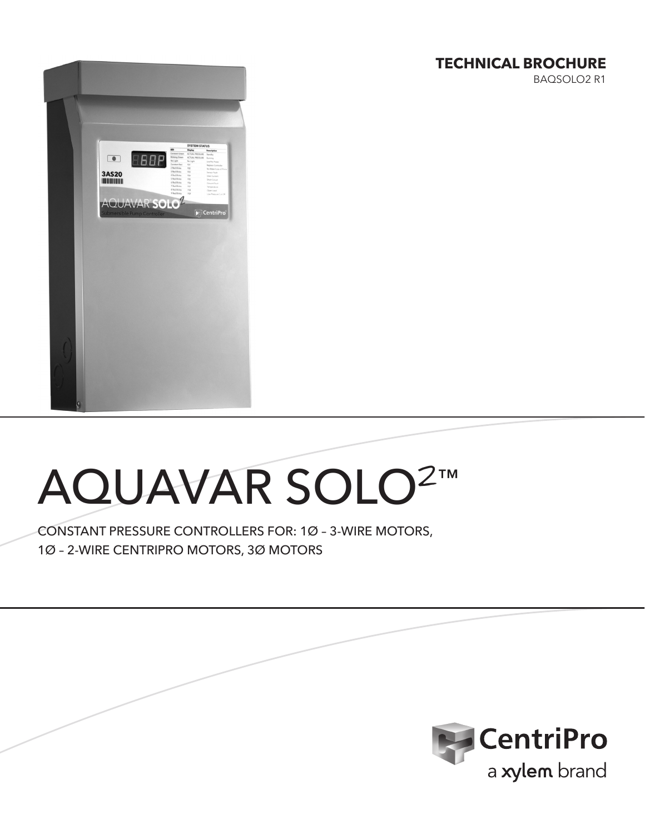# **TECHNICAL BROCHURE**

BAQSOLO2 R1



# AQUAVAR SOLO**2**™

CONSTANT PRESSURE CONTROLLERS FOR: 1Ø – 3-WIRE MOTORS, 1Ø – 2-WIRE CENTRIPRO MOTORS, 3Ø MOTORS

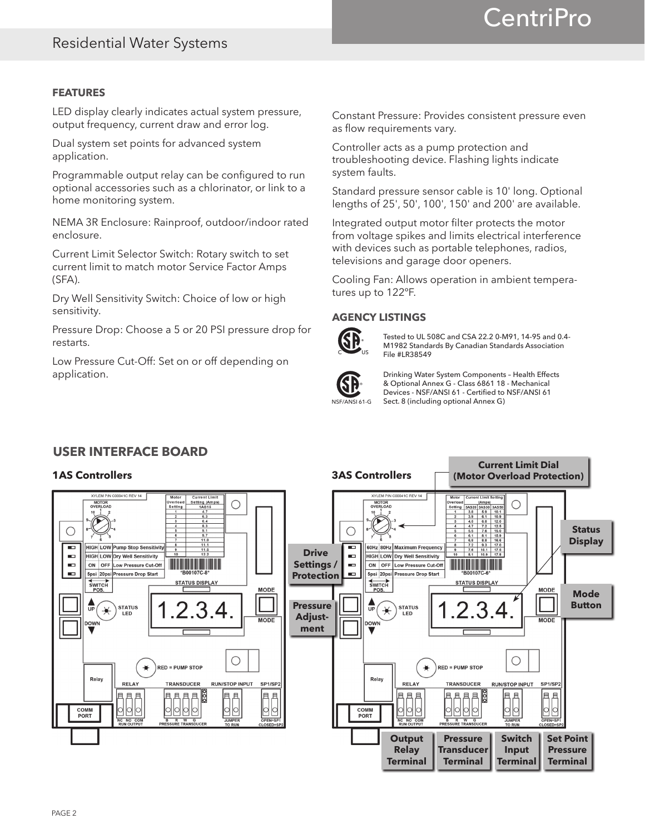# **CentriPro**

# **FEATURES**

LED display clearly indicates actual system pressure, output frequency, current draw and error log.

Dual system set points for advanced system application.

Programmable output relay can be configured to run optional accessories such as a chlorinator, or link to a home monitoring system.

NEMA 3R Enclosure: Rainproof, outdoor/indoor rated enclosure.

Current Limit Selector Switch: Rotary switch to set current limit to match motor Service Factor Amps (SFA).

Dry Well Sensitivity Switch: Choice of low or high sensitivity.

Pressure Drop: Choose a 5 or 20 PSI pressure drop for restarts.

Low Pressure Cut-Off: Set on or off depending on application.

Constant Pressure: Provides consistent pressure even as flow requirements vary.

Controller acts as a pump protection and troubleshooting device. Flashing lights indicate system faults.

Standard pressure sensor cable is 10' long. Optional lengths of 25', 50', 100', 150' and 200' are available.

Integrated output motor filter protects the motor from voltage spikes and limits electrical interference with devices such as portable telephones, radios, televisions and garage door openers.

Cooling Fan: Allows operation in ambient temperatures up to 122ºF.

# **AGENCY LISTINGS**



® Tested to UL 508C and CSA 22.2 0-M91, 14-95 and 0.4- M1982 Standards By Canadian Standards Association File #LR38549



Drinking Water System Components – Health Effects & Optional Annex G - Class 6861 18 - Mechanical Devices - NSF/ANSI 61 - Certified to NSF/ANSI 61 Sect. 8 (including optional Annex G)

**Current Limit Dial** 

# **USER INTERFACE BOARD**

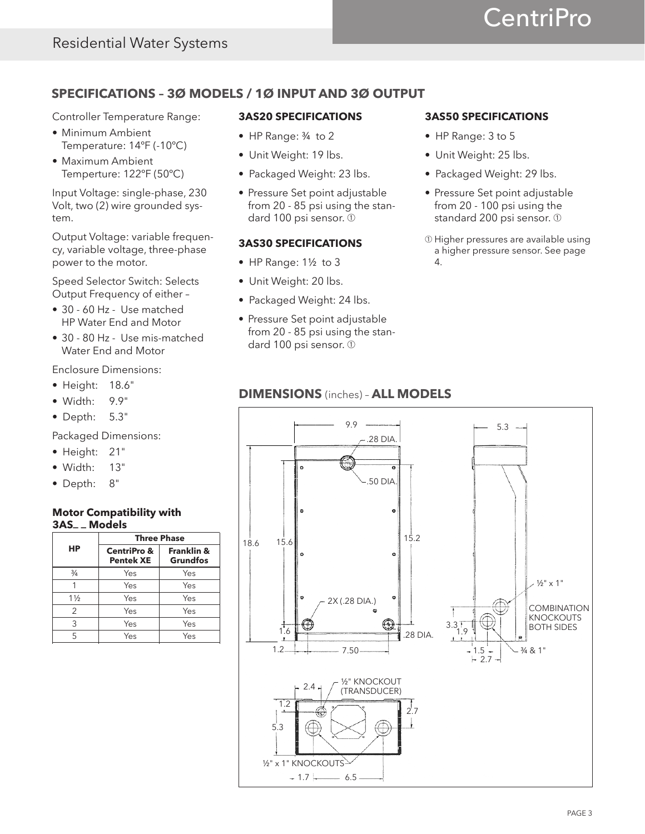# **CentriPro**

# **SPECIFICATIONS – 3Ø MODELS / 1Ø INPUT AND 3Ø OUTPUT**

Controller Temperature Range:

- Minimum Ambient Temperature: 14ºF (-10ºC)
- Maximum Ambient Temperture: 122ºF (50ºC)

Input Voltage: single-phase, 230 Volt, two (2) wire grounded system.

Output Voltage: variable frequency, variable voltage, three-phase power to the motor.

Speed Selector Switch: Selects Output Frequency of either –

- 30 60 Hz Use matched HP Water End and Motor
- 30 80 Hz Use mis-matched Water End and Motor

Enclosure Dimensions:

- Height: 18.6"
- Width: 9.9"
- Depth: 5.3"

Packaged Dimensions:

- Height: 21"
- Width: 13"
- Depth: 8"

# **Motor Compatibility with 3AS\_ \_ Models**

|                |                                            | <b>Three Phase</b>                       |
|----------------|--------------------------------------------|------------------------------------------|
| HP             | <b>CentriPro &amp;</b><br><b>Pentek XE</b> | <b>Franklin &amp;</b><br><b>Grundfos</b> |
| $\frac{3}{4}$  | Yes                                        | Yes                                      |
|                | Yes                                        | Yes                                      |
| $1\frac{1}{2}$ | Yes                                        | Yes                                      |
| 2              | Yes                                        | Yes                                      |
| 3              | Yes                                        | Yes                                      |
| 5              | Yes                                        | Yes                                      |

## **3AS20 SPECIFICATIONS**

- HP Range: ¾ to 2
- Unit Weight: 19 lbs.
- Packaged Weight: 23 lbs.
- Pressure Set point adjustable from 20 - 85 psi using the standard 100 psi sensor. ➀

# **3AS30 SPECIFICATIONS**

- HP Range: 1½ to 3
- Unit Weight: 20 lbs.
- Packaged Weight: 24 lbs.
- Pressure Set point adjustable from 20 - 85 psi using the standard 100 psi sensor. 1

# **3AS50 SPECIFICATIONS**

- HP Range: 3 to 5
- Unit Weight: 25 lbs.
- Packaged Weight: 29 lbs.
- Pressure Set point adjustable from 20 - 100 psi using the standard 200 psi sensor. ➀
- ➀ Higher pressures are available using a higher pressure sensor. See page 4.

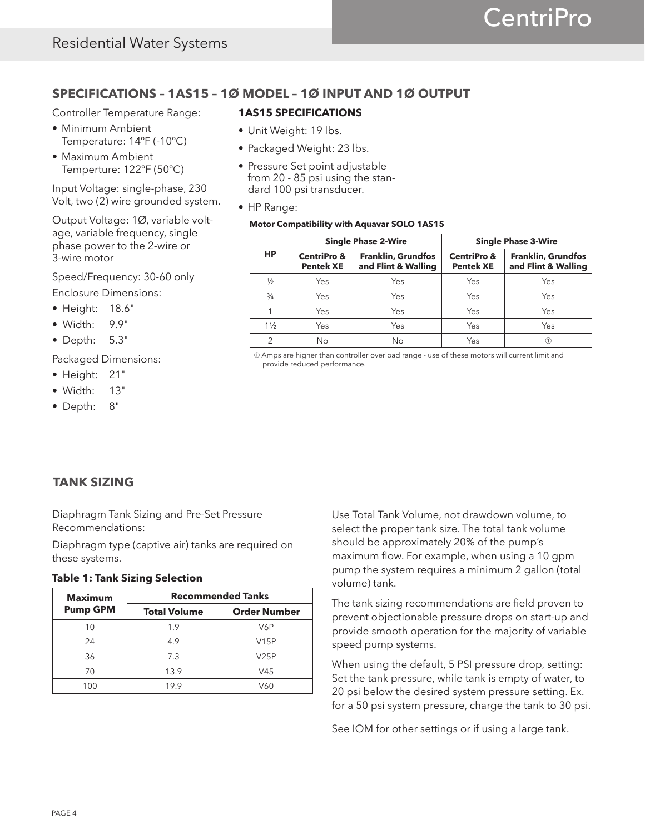# **SPECIFICATIONS – 1AS15 – 1Ø MODEL – 1Ø INPUT AND 1Ø OUTPUT**

Controller Temperature Range:

- Minimum Ambient Temperature: 14ºF (-10ºC)
- Maximum Ambient Temperture: 122ºF (50ºC)

Input Voltage: single-phase, 230 Volt, two (2) wire grounded system.

Output Voltage: 1Ø, variable voltage, variable frequency, single phase power to the 2-wire or 3-wire motor

Speed/Frequency: 30-60 only

Enclosure Dimensions:

- Height: 18.6"
- Width: 9.9"
- Depth: 5.3"

Packaged Dimensions:

- Height: 21"
- Width: 13"
- Depth: 8"

# **1AS15 SPECIFICATIONS**

- Unit Weight: 19 lbs.
- Packaged Weight: 23 lbs.
- Pressure Set point adjustable from 20 - 85 psi using the standard 100 psi transducer.
- HP Range:

#### **Motor Compatibility with Aquavar SOLO 1AS15**

|                |                                            | <b>Single Phase 2-Wire</b>                       |                                            | <b>Single Phase 3-Wire</b>                       |
|----------------|--------------------------------------------|--------------------------------------------------|--------------------------------------------|--------------------------------------------------|
| HP             | <b>CentriPro &amp;</b><br><b>Pentek XE</b> | <b>Franklin, Grundfos</b><br>and Flint & Walling | <b>CentriPro &amp;</b><br><b>Pentek XE</b> | <b>Franklin, Grundfos</b><br>and Flint & Walling |
| $\frac{1}{2}$  | Yes                                        | Yes                                              | Yes                                        | Yes                                              |
| $\frac{3}{4}$  | Yes                                        | Yes                                              | Yes                                        | Yes                                              |
|                | Yes                                        | Yes                                              | Yes                                        | Yes                                              |
| $1\frac{1}{2}$ | Yes                                        | Yes                                              | Yes                                        | Yes                                              |
|                | No                                         | No                                               | Yes                                        |                                                  |

➀ Amps are higher than controller overload range - use of these motors will current limit and provide reduced performance.

# **TANK SIZING**

Diaphragm Tank Sizing and Pre-Set Pressure Recommendations:

Diaphragm type (captive air) tanks are required on these systems.

# **Table 1: Tank Sizing Selection**

| <b>Maximum</b>  |                     | <b>Recommended Tanks</b> |
|-----------------|---------------------|--------------------------|
| <b>Pump GPM</b> | <b>Total Volume</b> | <b>Order Number</b>      |
| 10              | 1.9                 | V6P                      |
| 24              | 4.9                 | V15P                     |
| 36              | 7.3                 | V25P                     |
| 70              | 13.9                | V45                      |
| 100             | 19.9                | V60                      |

Use Total Tank Volume, not drawdown volume, to select the proper tank size. The total tank volume should be approximately 20% of the pump's maximum flow. For example, when using a 10 gpm pump the system requires a minimum 2 gallon (total volume) tank.

The tank sizing recommendations are field proven to prevent objectionable pressure drops on start-up and provide smooth operation for the majority of variable speed pump systems.

When using the default, 5 PSI pressure drop, setting: Set the tank pressure, while tank is empty of water, to 20 psi below the desired system pressure setting. Ex. for a 50 psi system pressure, charge the tank to 30 psi.

See IOM for other settings or if using a large tank.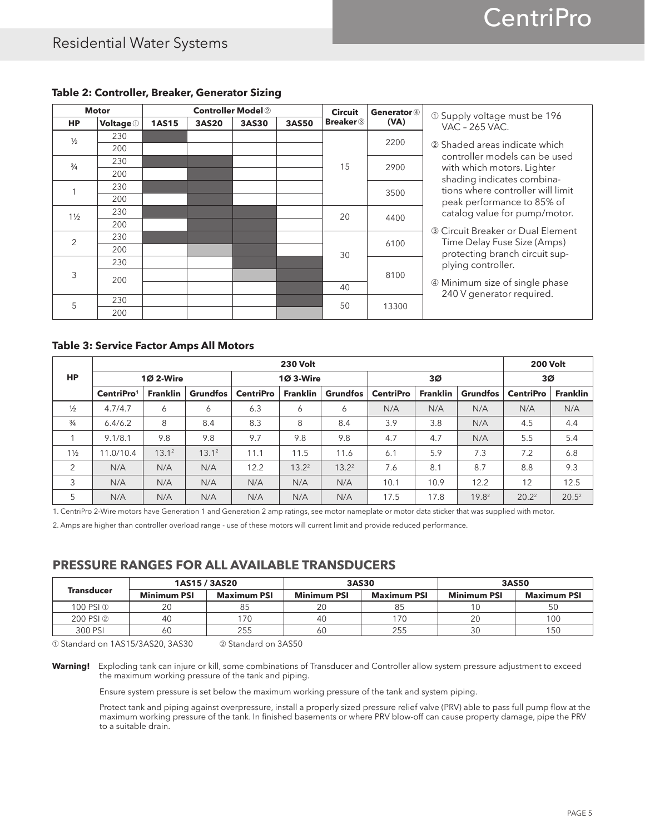|                | <b>Motor</b>     |              |              | <b>Controller Model 2</b> |       | <b>Circuit</b>              | Generator 4 | 196 30 Supply voltage must be                            |
|----------------|------------------|--------------|--------------|---------------------------|-------|-----------------------------|-------------|----------------------------------------------------------|
| <b>HP</b>      | <b>Voltage</b> 1 | <b>1AS15</b> | <b>3AS20</b> | 3AS30                     | 3AS50 | <b>Breaker</b> <sup>3</sup> | (VA)        | VAC - 265 VAC.                                           |
| $\frac{1}{2}$  | 230              |              |              |                           |       |                             | 2200        |                                                          |
|                | 200              |              |              |                           |       |                             |             | 2 Shaded areas indicate which                            |
| $\frac{3}{4}$  | 230              |              |              |                           |       | 15                          | 2900        | controller models can be used                            |
|                | 200              |              |              |                           |       |                             |             | with which motors. Lighter<br>shading indicates combina- |
|                | 230              |              |              |                           |       |                             | 3500        | tions where controller will limit                        |
|                | 200              |              |              |                           |       |                             |             | peak performance to 85% of                               |
| $1\frac{1}{2}$ | 230              |              |              |                           |       | 20                          | 4400        | catalog value for pump/motor.                            |
|                | 200              |              |              |                           |       |                             |             | 3 Circuit Breaker or Dual Element                        |
| $\overline{2}$ | 230              |              |              |                           |       |                             |             | Time Delay Fuse Size (Amps)                              |
|                | 200              |              |              |                           |       | 30                          | 6100        | protecting branch circuit sup-                           |
|                | 230              |              |              |                           |       |                             |             | plying controller.                                       |
| 3              | 200              |              |              |                           |       |                             | 8100        |                                                          |
|                |                  |              |              |                           |       | 40                          |             | 4 Minimum size of single phase                           |
| 5              | 230              |              |              |                           |       | 50                          | 13300       | 240 V generator required.                                |
|                | 200              |              |              |                           |       |                             |             |                                                          |

# **Table 2: Controller, Breaker, Generator Sizing**

#### **Table 3: Service Factor Amps All Motors**

|                |                        |                 |                 |                  | <b>230 Volt</b>  |                 |                  |                 |                   | <b>200 Volt</b>  |                 |
|----------------|------------------------|-----------------|-----------------|------------------|------------------|-----------------|------------------|-----------------|-------------------|------------------|-----------------|
| <b>HP</b>      |                        | <b>102-Wire</b> |                 |                  | <b>10 3-Wire</b> |                 |                  | 3Ø              |                   | 3Ø               |                 |
|                | CentriPro <sup>1</sup> | <b>Franklin</b> | <b>Grundfos</b> | <b>CentriPro</b> | <b>Franklin</b>  | <b>Grundfos</b> | <b>CentriPro</b> | <b>Franklin</b> | <b>Grundfos</b>   | <b>CentriPro</b> | <b>Franklin</b> |
| $\frac{1}{2}$  | 4.7/4.7                | 6               | 6               | 6.3              | 6                | 6               | N/A              | N/A             | N/A               | N/A              | N/A             |
| $\frac{3}{4}$  | 6.4/6.2                | 8               | 8.4             | 8.3              | 8                | 8.4             | 3.9              | 3.8             | N/A               | 4.5              | 4.4             |
|                | 9.1/8.1                | 9.8             | 9.8             | 9.7              | 9.8              | 9.8             | 4.7              | 4.7             | N/A               | 5.5              | 5.4             |
| $1\frac{1}{2}$ | 11.0/10.4              | $13.1^2$        | $13.1^2$        | 11.1             | 11.5             | 11.6            | 6.1              | 5.9             | 7.3               | 7.2              | 6.8             |
| 2              | N/A                    | N/A             | N/A             | 12.2             | $13.2^2$         | $13.2^2$        | 7.6              | 8.1             | 8.7               | 8.8              | 9.3             |
| 3              | N/A                    | N/A             | N/A             | N/A              | N/A              | N/A             | 10.1             | 10.9            | 12.2              | 12               | 12.5            |
| 5              | N/A                    | N/A             | N/A             | N/A              | N/A              | N/A             | 17.5             | 17.8            | 19.8 <sup>2</sup> | $20.2^2$         | $20.5^2$        |

1. CentriPro 2-Wire motors have Generation 1 and Generation 2 amp ratings, see motor nameplate or motor data sticker that was supplied with motor.

2. Amps are higher than controller overload range - use of these motors will current limit and provide reduced performance.

# **PRESSURE RANGES FOR ALL AVAILABLE TRANSDUCERS**

|                   |                    | 1AS15 / 3AS20      |                    | 3AS30              |                    | 3AS50              |
|-------------------|--------------------|--------------------|--------------------|--------------------|--------------------|--------------------|
| <b>Transducer</b> | <b>Minimum PSI</b> | <b>Maximum PSI</b> | <b>Minimum PSI</b> | <b>Maximum PSI</b> | <b>Minimum PSI</b> | <b>Maximum PSI</b> |
| 100 PSI ①         | 20                 | 85                 |                    | 85                 |                    |                    |
| 200 PSI 2         | 40                 | 170                | 40                 | 170                | 20                 | 100                |
| 300 PSI           | 60                 | 255                | 60                 | 255                | 30                 | 150                |

➀ Standard on 1AS15/3AS20, 3AS30 ➁ Standard on 3AS50

**Warning!** Exploding tank can injure or kill, some combinations of Transducer and Controller allow system pressure adjustment to exceed the maximum working pressure of the tank and piping.

Ensure system pressure is set below the maximum working pressure of the tank and system piping.

Protect tank and piping against overpressure, install a properly sized pressure relief valve (PRV) able to pass full pump flow at the maximum working pressure of the tank. In finished basements or where PRV blow-off can cause property damage, pipe the PRV to a suitable drain.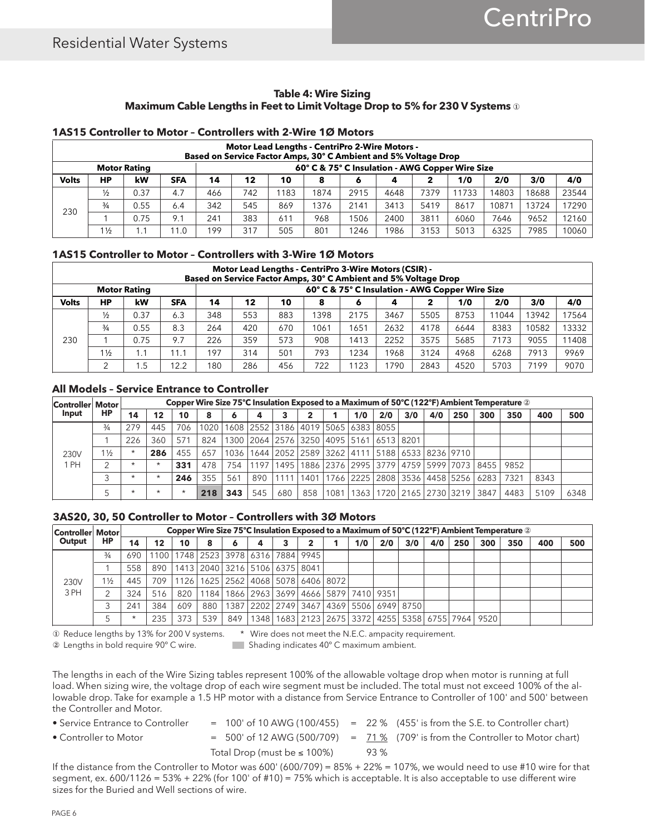#### **Table 4: Wire Sizing Maximum Cable Lengths in Feet to Limit Voltage Drop to 5% for 230 V Systems** ①

#### **1AS15 Controller to Motor – Controllers with 2-Wire 1Ø Motors**

|              |                |                     |            |     |                                                          |      | <b>Motor Lead Lengths - CentriPro 2-Wire Motors -</b><br>Based on Service Factor Amps, 30° C Ambient and 5% Voltage Drop |      |      |      |       |       |       |       |  |  |
|--------------|----------------|---------------------|------------|-----|----------------------------------------------------------|------|--------------------------------------------------------------------------------------------------------------------------|------|------|------|-------|-------|-------|-------|--|--|
|              |                | <b>Motor Rating</b> |            |     |                                                          |      | 60° C & 75° C Insulation - AWG Copper Wire Size                                                                          |      |      |      |       |       |       |       |  |  |
| <b>Volts</b> | НP             | kW                  | <b>SFA</b> | 14  | 4/0<br>2/0<br>3/0<br>12<br>1/0<br>10<br>2<br>8<br>4<br>6 |      |                                                                                                                          |      |      |      |       |       |       |       |  |  |
|              | $\frac{1}{2}$  | 0.37                | 4.7        | 466 | 742                                                      | 1183 | 1874                                                                                                                     | 2915 | 4648 | 7379 | 11733 | 14803 | 18688 | 23544 |  |  |
| 230          | $\frac{3}{4}$  | 0.55                | 6.4        | 342 | 545                                                      | 869  | 376                                                                                                                      | 2141 | 3413 | 5419 | 8617  | 10871 | 13724 | 17290 |  |  |
|              |                | 0.75                | 9.1        | 241 | 383                                                      | 611  | 968                                                                                                                      | 1506 | 2400 | 3811 | 6060  | 7646  | 9652  | 12160 |  |  |
|              | $1\frac{1}{2}$ | . . 1               | 1.0        | 199 | 317                                                      | 505  | 801                                                                                                                      | 1246 | 1986 | 3153 | 5013  | 6325  | 7985  | 10060 |  |  |

## **1AS15 Controller to Motor – Controllers with 3-Wire 1Ø Motors**

|              |                |                     |            |     |     |     | Motor Lead Lengths - CentriPro 3-Wire Motors (CSIR) -<br>Based on Service Factor Amps, 30° C Ambient and 5% Voltage Drop |           |                                                 |      |      |       |       |       |
|--------------|----------------|---------------------|------------|-----|-----|-----|--------------------------------------------------------------------------------------------------------------------------|-----------|-------------------------------------------------|------|------|-------|-------|-------|
|              |                | <b>Motor Rating</b> |            |     |     |     |                                                                                                                          |           | 60° C & 75° C Insulation - AWG Copper Wire Size |      |      |       |       |       |
| <b>Volts</b> | НP             | kW                  | <b>SFA</b> | 14  | 12  | 10  | 8                                                                                                                        | $\bullet$ | 4                                               | 2    | 1/0  | 2/0   | 3/0   | 4/0   |
|              | 1/2            | 0.37                | 6.3        | 348 | 553 | 883 | 1398                                                                                                                     | 2175      | 3467                                            | 5505 | 8753 | 11044 | 13942 | 17564 |
|              | $\frac{3}{4}$  | 0.55                | 8.3        | 264 | 420 | 670 | 1061                                                                                                                     | 1651      | 2632                                            | 4178 | 6644 | 8383  | 10582 | 13332 |
| 230          |                | 0.75                | 9.7        | 226 | 359 | 573 | 908                                                                                                                      | 1413      | 2252                                            | 3575 | 5685 | 7173  | 9055  | 11408 |
|              | $1\frac{1}{2}$ | 1.1                 | 11.1       | 197 | 314 | 501 | 793                                                                                                                      | 1234      | 1968                                            | 3124 | 4968 | 6268  | 7913  | 9969  |
|              | ⌒              | l .5                | 12.2       | 180 | 286 | 456 | 722                                                                                                                      | 1123      | 1790                                            | 2843 | 4520 | 5703  | 7199  | 9070  |

#### **All Models – Service Entrance to Controller**

| Controller Motor |                |         |         |         |     |       |      |                                                                     |     |      |     |                                                |     |     |     |                                                       | Copper Wire Size 75°C Insulation Exposed to a Maximum of 50°C (122°F) Ambient Temperature $\circledcirc$ |      |      |
|------------------|----------------|---------|---------|---------|-----|-------|------|---------------------------------------------------------------------|-----|------|-----|------------------------------------------------|-----|-----|-----|-------------------------------------------------------|----------------------------------------------------------------------------------------------------------|------|------|
| Input            | HP             | 14      | 12      | 10      | 8   |       | 4    |                                                                     |     |      | 1/0 | 2/0                                            | 3/0 | 4/0 | 250 | 300                                                   | 350                                                                                                      | 400  | 500  |
|                  | $\frac{3}{4}$  | 279     | 445     | 706     |     |       |      | 1020   1608   2552   3186   4019   5065   6383   8055               |     |      |     |                                                |     |     |     |                                                       |                                                                                                          |      |      |
|                  |                | 226     | 360     | 571     | 824 |       |      | 1300   2064   2576   3250   4095   5161   6513   8201               |     |      |     |                                                |     |     |     |                                                       |                                                                                                          |      |      |
| 230V             | $1\frac{1}{2}$ | $\star$ | 286     | 455     | 657 |       |      | 1036   1644   2052   2589   3262   4111   5188   6533   8236   9710 |     |      |     |                                                |     |     |     |                                                       |                                                                                                          |      |      |
| 1 PH             |                | $\star$ | $\star$ | 331     | 478 | 754 L | 1197 | 1495                                                                |     |      |     |                                                |     |     |     | 1886   2376   2995   3779   4759   5999   7073   8455 | 9852                                                                                                     |      |      |
|                  |                | $\star$ | $\star$ | 246     | 355 | 561   | 890  | 1111                                                                |     |      |     | 1401   1766   2225   2808   3536   4458   5256 |     |     |     | 62831                                                 | 7321                                                                                                     | 8343 |      |
|                  |                | $\star$ | $\star$ | $\star$ | 218 | 343   | 545  | 680                                                                 | 858 | 1081 |     | 1363   1720   2165   2730   3219               |     |     |     | 3847                                                  | 4483                                                                                                     | 5109 | 6348 |

#### **3AS20, 30, 50 Controller to Motor – Controllers with 3Ø Motors**

| Controller Motor |                |     |     |     |     |                                                       |                                         |  |     |     |     |     |     |                                                                     | Copper Wire Size 75°C Insulation Exposed to a Maximum of 50°C (122°F) Ambient Temperature 2 |     |     |
|------------------|----------------|-----|-----|-----|-----|-------------------------------------------------------|-----------------------------------------|--|-----|-----|-----|-----|-----|---------------------------------------------------------------------|---------------------------------------------------------------------------------------------|-----|-----|
| Output           | <b>HP</b>      | 14  | 12  | 10  | 8   |                                                       |                                         |  | 1/0 | 2/0 | 3/0 | 4/0 | 250 | 300                                                                 | 350                                                                                         | 400 | 500 |
|                  | $\frac{3}{4}$  | 690 |     |     |     | 1100   1748   2523   3978   6316   7884   9945        |                                         |  |     |     |     |     |     |                                                                     |                                                                                             |     |     |
|                  |                | 558 |     |     |     | 890   1413   2040   3216   5106   6375   8041         |                                         |  |     |     |     |     |     |                                                                     |                                                                                             |     |     |
| 230V             | $1\frac{1}{2}$ | 445 | 709 |     |     | 1126   1625   2562   4068   5078   6406   8072        |                                         |  |     |     |     |     |     |                                                                     |                                                                                             |     |     |
| 3 PH             |                | 324 | 516 | 820 |     | 1184   1866   2963   3699   4666   5879   7410   9351 |                                         |  |     |     |     |     |     |                                                                     |                                                                                             |     |     |
|                  |                | 241 | 384 | 609 | 880 |                                                       | 1387 2202 2749 3467 4369 5506 6949 8750 |  |     |     |     |     |     |                                                                     |                                                                                             |     |     |
|                  |                |     | 235 | 373 | 539 | 849                                                   |                                         |  |     |     |     |     |     | 1348   1683   2123   2675   3372   4255   5358   6755   7964   9520 |                                                                                             |     |     |

① Reduce lengths by 13% for 200 V systems. \* Wire does not meet the N.E.C. ampacity requirement.

② Lengths in bold require 90º C wire. Shading indicates 40º C maximum ambient.

The lengths in each of the Wire Sizing tables represent 100% of the allowable voltage drop when motor is running at full load. When sizing wire, the voltage drop of each wire segment must be included. The total must not exceed 100% of the allowable drop. Take for example a 1.5 HP motor with a distance from Service Entrance to Controller of 100' and 500' between the Controller and Motor.

- 
- 
- Service Entrance to Controller  $= 100'$  of 10 AWG (100/455)  $= 22 \%$  (455' is from the S.E. to Controller chart) • Controller to Motor  $= 500'$  of 12 AWG (500/709)  $= 71\%$  (709' is from the Controller to Motor chart) Total Drop (must be  $\leq$  100%) 93 %

If the distance from the Controller to Motor was 600' (600/709) =  $85\% + 22\% = 107\%$ , we would need to use #10 wire for that segment, ex. 600/1126 = 53% + 22% (for 100' of #10) = 75% which is acceptable. It is also acceptable to use different wire sizes for the Buried and Well sections of wire.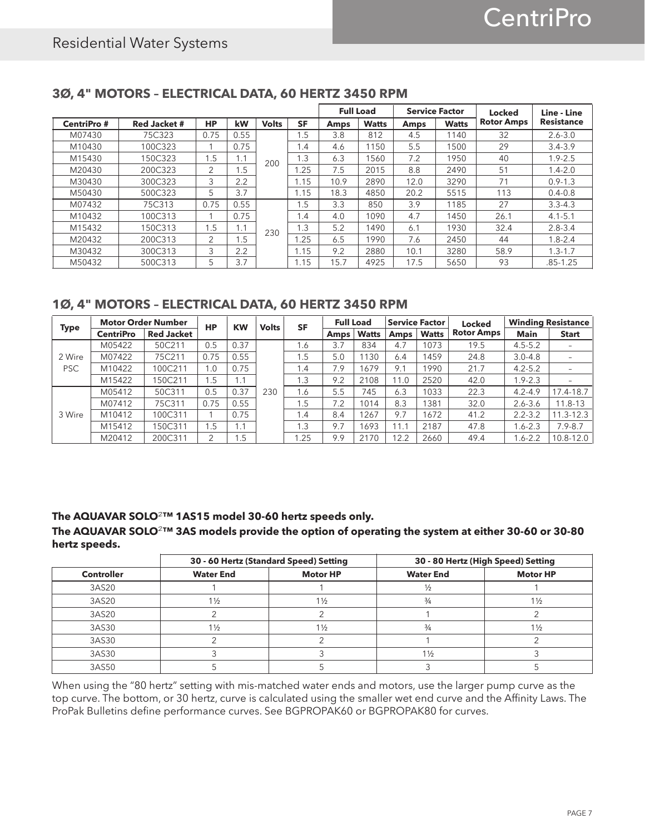|                   |                     |           |      |              | <b>SF</b> |             | <b>Full Load</b> | <b>Service Factor</b> |              | Locked            | Line - Line       |
|-------------------|---------------------|-----------|------|--------------|-----------|-------------|------------------|-----------------------|--------------|-------------------|-------------------|
| <b>CentriPro#</b> | <b>Red Jacket #</b> | <b>HP</b> | kW   | <b>Volts</b> |           | <b>Amps</b> | <b>Watts</b>     | <b>Amps</b>           | <b>Watts</b> | <b>Rotor Amps</b> | <b>Resistance</b> |
| M07430            | 75C323              | 0.75      | 0.55 |              | 1.5       | 3.8         | 812              | 4.5                   | 1140         | 32                | $2.6 - 3.0$       |
| M10430            | 100C323             |           | 0.75 |              | 1.4       | 4.6         | 1150             | 5.5                   | 1500         | 29                | $3.4 - 3.9$       |
| M15430            | 150C323             | 1.5       | 1.1  | 200          | 1.3       | 6.3         | 1560             | 7.2                   | 1950         | 40                | $1.9 - 2.5$       |
| M20430            | 200C323             | 2         | .5   |              | .25       | 7.5         | 2015             | 8.8                   | 2490         | 51                | $1.4 - 2.0$       |
| M30430            | 300C323             | 3         | 2.2  |              | 1.15      | 10.9        | 2890             | 12.0                  | 3290         | 71                | $0.9 - 1.3$       |
| M50430            | 500C323             | 5         | 3.7  |              | 1.15      | 18.3        | 4850             | 20.2                  | 5515         | 113               | $0.4 - 0.8$       |
| M07432            | 75C313              | 0.75      | 0.55 |              | 1.5       | 3.3         | 850              | 3.9                   | 1185         | 27                | $3.3 - 4.3$       |
| M10432            | 100C313             |           | 0.75 |              | 1.4       | 4.0         | 1090             | 4.7                   | 1450         | 26.1              | $4.1 - 5.1$       |
| M15432            | 150C313             | 1.5       | 1.1  | 230          | 1.3       | 5.2         | 1490             | 6.1                   | 1930         | 32.4              | $2.8 - 3.4$       |
| M20432            | 200C313             | 2         | .5   |              | .25       | 6.5         | 1990             | 7.6                   | 2450         | 44                | $1.8 - 2.4$       |
| M30432            | 300C313             | 3         | 2.2  |              | 1.15      | 9.2         | 2880             | 10.1                  | 3280         | 58.9              | $1.3 - 1.7$       |
| M50432            | 500C313             | 5         | 3.7  |              | 1.15      | 15.7        | 4925             | 17.5                  | 5650         | 93                | $.85 - 1.25$      |

# **3Ø, 4" MOTORS – ELECTRICAL DATA, 60 HERTZ 3450 RPM**

# **1Ø, 4" MOTORS – ELECTRICAL DATA, 60 HERTZ 3450 RPM**

| <b>Type</b> |                  | <b>Motor Order Number</b> | <b>HP</b> | <b>KW</b> | <b>Volts</b> | <b>SF</b> | <b>Full Load</b> |              |      | <b>Service Factor</b> | <b>Locked</b>     |             | <b>Winding Resistance</b> |
|-------------|------------------|---------------------------|-----------|-----------|--------------|-----------|------------------|--------------|------|-----------------------|-------------------|-------------|---------------------------|
|             | <b>CentriPro</b> | <b>Red Jacket</b>         |           |           |              |           | <b>Amps</b>      | <b>Watts</b> | Amps | <b>Watts</b>          | <b>Rotor Amps</b> | <b>Main</b> | <b>Start</b>              |
|             | M05422           | 50C211                    | 0.5       | 0.37      |              | 1.6       | 3.7              | 834          | 4.7  | 1073                  | 19.5              | $4.5 - 5.2$ |                           |
| 2 Wire      | M07422           | 75C211                    | 0.75      | 0.55      |              | 1.5       | 5.0              | 130          | 6.4  | 1459                  | 24.8              | $3.0 - 4.8$ | -                         |
| <b>PSC</b>  | M10422           | 100C211                   | 1.0       | 0.75      |              | 1.4       | 7.9              | 679          | 9.1  | 1990                  | 21.7              | $4.2 - 5.2$ | $\overline{\phantom{0}}$  |
|             | M15422           | 150C211                   | 1.5       | 1.1       |              | 1.3       | 9.2              | 2108         | 11.0 | 2520                  | 42.0              | $1.9 - 2.3$ | $\overline{\phantom{a}}$  |
|             | M05412           | 50C311                    | 0.5       | 0.37      | 230          | 1.6       | 5.5              | 745          | 6.3  | 1033                  | 22.3              | $4.2 - 4.9$ | 17.4-18.7                 |
|             | M07412           | 75C311                    | 0.75      | 0.55      |              | 1.5       | 7.2              | 1014         | 8.3  | 1381                  | 32.0              | $2.6 - 3.6$ | 11.8-13                   |
| 3 Wire      | M10412           | 100C311                   |           | 0.75      |              | 1.4       | 8.4              | 1267         | 9.7  | 1672                  | 41.2              | $2.2 - 3.2$ | $11.3 - 12.3$             |
|             | M15412           | 150C311                   | 1.5       | 1.1       |              | 1.3       | 9.7              | 1693         | 11.1 | 2187                  | 47.8              | $1.6 - 2.3$ | $7.9 - 8.7$               |
|             | M20412           | 200C311                   |           | .5        |              | 1.25      | 9.9              | 2170         | 12.2 | 2660                  | 49.4              | $1.6 - 2.2$ | 10.8-12.0                 |

# **The AQUAVAR SOLO2™ 1AS15 model 30-60 hertz speeds only.**

**The AQUAVAR SOLO2™ 3AS models provide the option of operating the system at either 30-60 or 30-80 hertz speeds.**

|                   | 30 - 60 Hertz (Standard Speed) Setting |                 | 30 - 80 Hertz (High Speed) Setting |                 |
|-------------------|----------------------------------------|-----------------|------------------------------------|-----------------|
| <b>Controller</b> | <b>Water End</b>                       | <b>Motor HP</b> | <b>Water End</b>                   | <b>Motor HP</b> |
| 3AS20             |                                        |                 | 1/2                                |                 |
| 3AS20             | $1\frac{1}{2}$                         | $1\frac{1}{2}$  | $\frac{3}{4}$                      | $1\frac{1}{2}$  |
| 3AS20             |                                        |                 |                                    |                 |
| 3AS30             | $1\frac{1}{2}$                         | $1\frac{1}{2}$  | $\frac{3}{4}$                      | $1\frac{1}{2}$  |
| 3AS30             |                                        |                 |                                    |                 |
| 3AS30             |                                        |                 | $1\frac{1}{2}$                     |                 |
| 3AS50             |                                        |                 |                                    |                 |

When using the "80 hertz" setting with mis-matched water ends and motors, use the larger pump curve as the top curve. The bottom, or 30 hertz, curve is calculated using the smaller wet end curve and the Affinity Laws. The ProPak Bulletins define performance curves. See BGPROPAK60 or BGPROPAK80 for curves.